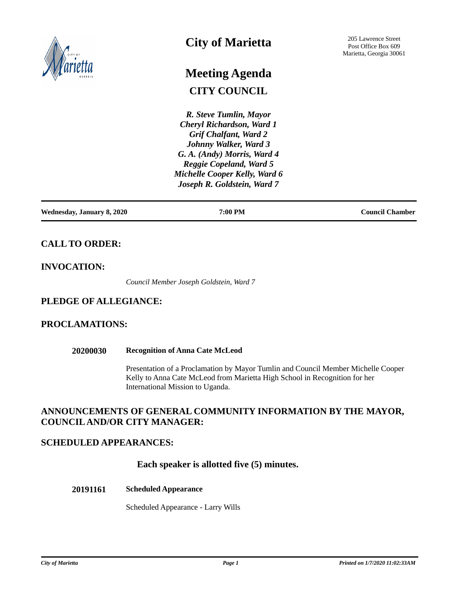

# **City of Marietta**

# **CITY COUNCIL Meeting Agenda**

*R. Steve Tumlin, Mayor Cheryl Richardson, Ward 1 Grif Chalfant, Ward 2 Johnny Walker, Ward 3 G. A. (Andy) Morris, Ward 4 Reggie Copeland, Ward 5 Michelle Cooper Kelly, Ward 6 Joseph R. Goldstein, Ward 7*

**Wednesday, January 8, 2020 7:00 PM Council Chamber**

# **CALL TO ORDER:**

# **INVOCATION:**

*Council Member Joseph Goldstein, Ward 7*

# **PLEDGE OF ALLEGIANCE:**

# **PROCLAMATIONS:**

#### **20200030 Recognition of Anna Cate McLeod**

Presentation of a Proclamation by Mayor Tumlin and Council Member Michelle Cooper Kelly to Anna Cate McLeod from Marietta High School in Recognition for her International Mission to Uganda.

# **ANNOUNCEMENTS OF GENERAL COMMUNITY INFORMATION BY THE MAYOR, COUNCIL AND/OR CITY MANAGER:**

## **SCHEDULED APPEARANCES:**

 **Each speaker is allotted five (5) minutes.**

#### **20191161 Scheduled Appearance**

Scheduled Appearance - Larry Wills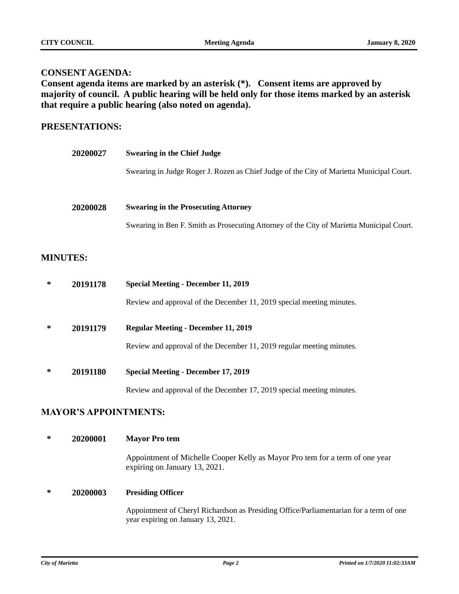### **CONSENT AGENDA:**

**Consent agenda items are marked by an asterisk (\*). Consent items are approved by majority of council. A public hearing will be held only for those items marked by an asterisk that require a public hearing (also noted on agenda).**

## **PRESENTATIONS:**

| <b>20200027</b> | <b>Swearing in the Chief Judge</b>                                                        |
|-----------------|-------------------------------------------------------------------------------------------|
|                 | Swearing in Judge Roger J. Rozen as Chief Judge of the City of Marietta Municipal Court.  |
| 20200028        | <b>Swearing in the Prosecuting Attorney</b>                                               |
|                 | Swearing in Ben F. Smith as Prosecuting Attorney of the City of Marietta Municipal Court. |

# **MINUTES:**

| ∗ | 20191178 | <b>Special Meeting - December 11, 2019</b>                            |
|---|----------|-----------------------------------------------------------------------|
|   |          | Review and approval of the December 11, 2019 special meeting minutes. |
| ∗ | 20191179 | <b>Regular Meeting - December 11, 2019</b>                            |
|   |          | Review and approval of the December 11, 2019 regular meeting minutes. |
| ∗ | 20191180 | <b>Special Meeting - December 17, 2019</b>                            |
|   |          | Review and approval of the December 17, 2019 special meeting minutes. |

# **MAYOR'S APPOINTMENTS:**

## **\* 20200001 Mayor Pro tem**

Appointment of Michelle Cooper Kelly as Mayor Pro tem for a term of one year expiring on January 13, 2021.

#### **\* 20200003 Presiding Officer**

Appointment of Cheryl Richardson as Presiding Office/Parliamentarian for a term of one year expiring on January 13, 2021.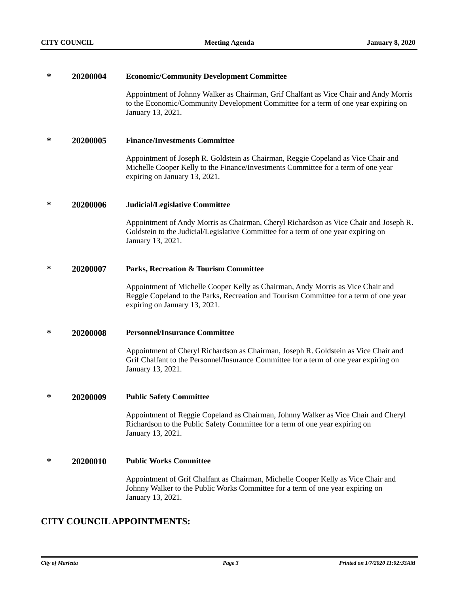#### **\* 20200004 Economic/Community Development Committee**

Appointment of Johnny Walker as Chairman, Grif Chalfant as Vice Chair and Andy Morris to the Economic/Community Development Committee for a term of one year expiring on January 13, 2021.

#### **\* 20200005 Finance/Investments Committee**

Appointment of Joseph R. Goldstein as Chairman, Reggie Copeland as Vice Chair and Michelle Cooper Kelly to the Finance/Investments Committee for a term of one year expiring on January 13, 2021.

#### **\* 20200006 Judicial/Legislative Committee**

Appointment of Andy Morris as Chairman, Cheryl Richardson as Vice Chair and Joseph R. Goldstein to the Judicial/Legislative Committee for a term of one year expiring on January 13, 2021.

#### **\* 20200007 Parks, Recreation & Tourism Committee**

Appointment of Michelle Cooper Kelly as Chairman, Andy Morris as Vice Chair and Reggie Copeland to the Parks, Recreation and Tourism Committee for a term of one year expiring on January 13, 2021.

#### **\* 20200008 Personnel/Insurance Committee**

Appointment of Cheryl Richardson as Chairman, Joseph R. Goldstein as Vice Chair and Grif Chalfant to the Personnel/Insurance Committee for a term of one year expiring on January 13, 2021.

#### **\* 20200009 Public Safety Committee**

Appointment of Reggie Copeland as Chairman, Johnny Walker as Vice Chair and Cheryl Richardson to the Public Safety Committee for a term of one year expiring on January 13, 2021.

#### **\* 20200010 Public Works Committee**

Appointment of Grif Chalfant as Chairman, Michelle Cooper Kelly as Vice Chair and Johnny Walker to the Public Works Committee for a term of one year expiring on January 13, 2021.

# **CITY COUNCIL APPOINTMENTS:**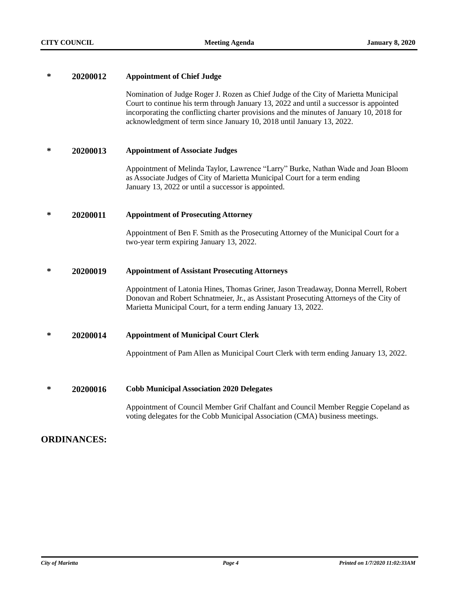| ∗ | 20200012 | <b>Appointment of Chief Judge</b>                                                                                                                                                                                                                                                                                                                  |
|---|----------|----------------------------------------------------------------------------------------------------------------------------------------------------------------------------------------------------------------------------------------------------------------------------------------------------------------------------------------------------|
|   |          | Nomination of Judge Roger J. Rozen as Chief Judge of the City of Marietta Municipal<br>Court to continue his term through January 13, 2022 and until a successor is appointed<br>incorporating the conflicting charter provisions and the minutes of January 10, 2018 for<br>acknowledgment of term since January 10, 2018 until January 13, 2022. |
| ∗ | 20200013 | <b>Appointment of Associate Judges</b>                                                                                                                                                                                                                                                                                                             |
|   |          | Appointment of Melinda Taylor, Lawrence "Larry" Burke, Nathan Wade and Joan Bloom<br>as Associate Judges of City of Marietta Municipal Court for a term ending<br>January 13, 2022 or until a successor is appointed.                                                                                                                              |
| ∗ | 20200011 | <b>Appointment of Prosecuting Attorney</b>                                                                                                                                                                                                                                                                                                         |
|   |          | Appointment of Ben F. Smith as the Prosecuting Attorney of the Municipal Court for a<br>two-year term expiring January 13, 2022.                                                                                                                                                                                                                   |
| ∗ | 20200019 | <b>Appointment of Assistant Prosecuting Attorneys</b>                                                                                                                                                                                                                                                                                              |
|   |          | Appointment of Latonia Hines, Thomas Griner, Jason Treadaway, Donna Merrell, Robert<br>Donovan and Robert Schnatmeier, Jr., as Assistant Prosecuting Attorneys of the City of<br>Marietta Municipal Court, for a term ending January 13, 2022.                                                                                                     |
| ∗ | 20200014 | <b>Appointment of Municipal Court Clerk</b>                                                                                                                                                                                                                                                                                                        |
|   |          | Appointment of Pam Allen as Municipal Court Clerk with term ending January 13, 2022.                                                                                                                                                                                                                                                               |
| ∗ |          |                                                                                                                                                                                                                                                                                                                                                    |
|   | 20200016 | <b>Cobb Municipal Association 2020 Delegates</b>                                                                                                                                                                                                                                                                                                   |
|   |          | Appointment of Council Member Grif Chalfant and Council Member Reggie Copeland as<br>voting delegates for the Cobb Municipal Association (CMA) business meetings.                                                                                                                                                                                  |

# **ORDINANCES:**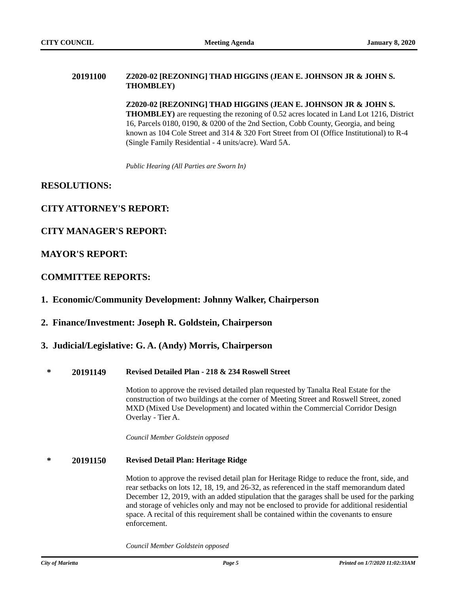#### **20191100 Z2020-02 [REZONING] THAD HIGGINS (JEAN E. JOHNSON JR & JOHN S. THOMBLEY)**

**Z2020-02 [REZONING] THAD HIGGINS (JEAN E. JOHNSON JR & JOHN S. THOMBLEY)** are requesting the rezoning of 0.52 acres located in Land Lot 1216, District 16, Parcels 0180, 0190, & 0200 of the 2nd Section, Cobb County, Georgia, and being known as 104 Cole Street and 314 & 320 Fort Street from OI (Office Institutional) to R-4 (Single Family Residential - 4 units/acre). Ward 5A.

*Public Hearing (All Parties are Sworn In)*

### **RESOLUTIONS:**

## **CITY ATTORNEY'S REPORT:**

### **CITY MANAGER'S REPORT:**

### **MAYOR'S REPORT:**

### **COMMITTEE REPORTS:**

#### **1. Economic/Community Development: Johnny Walker, Chairperson**

#### **2. Finance/Investment: Joseph R. Goldstein, Chairperson**

#### **3. Judicial/Legislative: G. A. (Andy) Morris, Chairperson**

#### **\* 20191149 Revised Detailed Plan - 218 & 234 Roswell Street**

Motion to approve the revised detailed plan requested by Tanalta Real Estate for the construction of two buildings at the corner of Meeting Street and Roswell Street, zoned MXD (Mixed Use Development) and located within the Commercial Corridor Design Overlay - Tier A.

*Council Member Goldstein opposed*

#### **\* 20191150 Revised Detail Plan: Heritage Ridge**

Motion to approve the revised detail plan for Heritage Ridge to reduce the front, side, and rear setbacks on lots 12, 18, 19, and 26-32, as referenced in the staff memorandum dated December 12, 2019, with an added stipulation that the garages shall be used for the parking and storage of vehicles only and may not be enclosed to provide for additional residential space. A recital of this requirement shall be contained within the covenants to ensure enforcement.

*Council Member Goldstein opposed*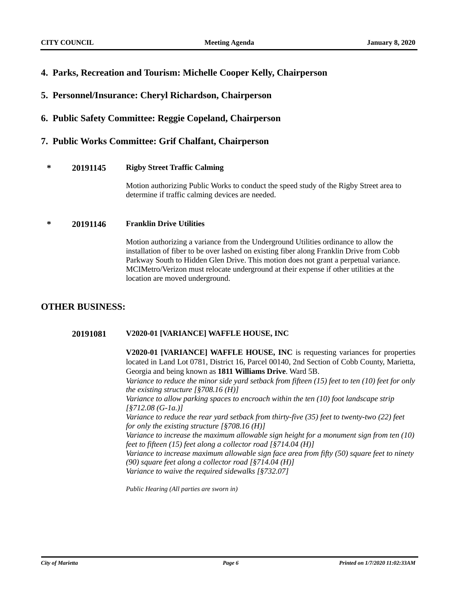- **4. Parks, Recreation and Tourism: Michelle Cooper Kelly, Chairperson**
- **5. Personnel/Insurance: Cheryl Richardson, Chairperson**
- **6. Public Safety Committee: Reggie Copeland, Chairperson**

## **7. Public Works Committee: Grif Chalfant, Chairperson**

#### **\* 20191145 Rigby Street Traffic Calming**

Motion authorizing Public Works to conduct the speed study of the Rigby Street area to determine if traffic calming devices are needed.

#### **\* 20191146 Franklin Drive Utilities**

Motion authorizing a variance from the Underground Utilities ordinance to allow the installation of fiber to be over lashed on existing fiber along Franklin Drive from Cobb Parkway South to Hidden Glen Drive. This motion does not grant a perpetual variance. MCIMetro/Verizon must relocate underground at their expense if other utilities at the location are moved underground.

# **OTHER BUSINESS:**

#### **20191081 V2020-01 [VARIANCE] WAFFLE HOUSE, INC**

**V2020-01 [VARIANCE] WAFFLE HOUSE, INC** is requesting variances for properties located in Land Lot 0781, District 16, Parcel 00140, 2nd Section of Cobb County, Marietta, Georgia and being known as **1811 Williams Drive**. Ward 5B.

*1. Variance to reduce the minor side yard setback from fifteen (15) feet to ten (10) feet for only the existing structure [§708.16 (H)]* 

*2. Variance to allow parking spaces to encroach within the ten (10) foot landscape strip [§712.08 (G-1a.)]*

*3. Variance to reduce the rear yard setback from thirty-five (35) feet to twenty-two (22) feet for only the existing structure [§708.16 (H)]*

*4. Variance to increase the maximum allowable sign height for a monument sign from ten (10) feet to fifteen (15) feet along a collector road [§714.04 (H)]*

*5. Variance to increase maximum allowable sign face area from fifty (50) square feet to ninety (90) square feet along a collector road [§714.04 (H)]*

*6. Variance to waive the required sidewalks [§732.07]*

*Public Hearing (All parties are sworn in)*